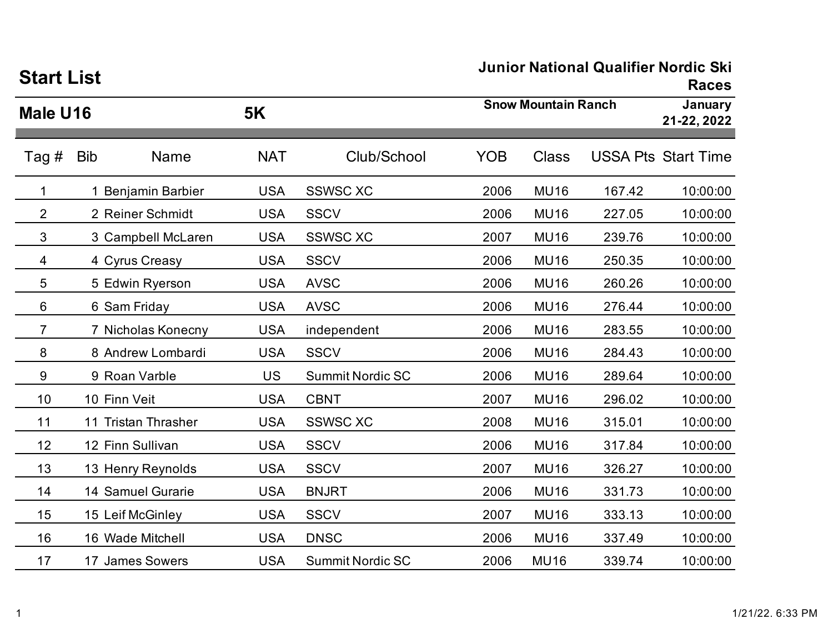| <b>Start List</b> |                     |            |                         | JUINOI NAUONAI QUAINIEI NOIUIC SKI<br><b>Races</b> |                            |        |                            |  |
|-------------------|---------------------|------------|-------------------------|----------------------------------------------------|----------------------------|--------|----------------------------|--|
| Male U16          |                     | <b>5K</b>  |                         |                                                    | <b>Snow Mountain Ranch</b> |        |                            |  |
| Tag #             | <b>Bib</b><br>Name  | <b>NAT</b> | Club/School             | <b>YOB</b>                                         | <b>Class</b>               |        | <b>USSA Pts Start Time</b> |  |
| 1                 | 1 Benjamin Barbier  | <b>USA</b> | <b>SSWSC XC</b>         | 2006                                               | <b>MU16</b>                | 167.42 | 10:00:00                   |  |
| $\overline{2}$    | 2 Reiner Schmidt    | <b>USA</b> | <b>SSCV</b>             | 2006                                               | <b>MU16</b>                | 227.05 | 10:00:00                   |  |
| 3                 | 3 Campbell McLaren  | <b>USA</b> | <b>SSWSC XC</b>         | 2007                                               | <b>MU16</b>                | 239.76 | 10:00:00                   |  |
| 4                 | 4 Cyrus Creasy      | <b>USA</b> | <b>SSCV</b>             | 2006                                               | <b>MU16</b>                | 250.35 | 10:00:00                   |  |
| 5                 | 5 Edwin Ryerson     | <b>USA</b> | <b>AVSC</b>             | 2006                                               | <b>MU16</b>                | 260.26 | 10:00:00                   |  |
| 6                 | 6 Sam Friday        | <b>USA</b> | <b>AVSC</b>             | 2006                                               | <b>MU16</b>                | 276.44 | 10:00:00                   |  |
| $\overline{7}$    | 7 Nicholas Konecny  | <b>USA</b> | independent             | 2006                                               | <b>MU16</b>                | 283.55 | 10:00:00                   |  |
| 8                 | 8 Andrew Lombardi   | <b>USA</b> | <b>SSCV</b>             | 2006                                               | <b>MU16</b>                | 284.43 | 10:00:00                   |  |
| 9                 | 9 Roan Varble       | <b>US</b>  | <b>Summit Nordic SC</b> | 2006                                               | <b>MU16</b>                | 289.64 | 10:00:00                   |  |
| 10                | 10 Finn Veit        | <b>USA</b> | <b>CBNT</b>             | 2007                                               | <b>MU16</b>                | 296.02 | 10:00:00                   |  |
| 11                | 11 Tristan Thrasher | <b>USA</b> | <b>SSWSC XC</b>         | 2008                                               | <b>MU16</b>                | 315.01 | 10:00:00                   |  |
| 12                | 12 Finn Sullivan    | <b>USA</b> | <b>SSCV</b>             | 2006                                               | <b>MU16</b>                | 317.84 | 10:00:00                   |  |
| 13                | 13 Henry Reynolds   | <b>USA</b> | <b>SSCV</b>             | 2007                                               | <b>MU16</b>                | 326.27 | 10:00:00                   |  |
| 14                | 14 Samuel Gurarie   | <b>USA</b> | <b>BNJRT</b>            | 2006                                               | <b>MU16</b>                | 331.73 | 10:00:00                   |  |
| 15                | 15 Leif McGinley    | <b>USA</b> | <b>SSCV</b>             | 2007                                               | <b>MU16</b>                | 333.13 | 10:00:00                   |  |
| 16                | 16 Wade Mitchell    | <b>USA</b> | <b>DNSC</b>             | 2006                                               | <b>MU16</b>                | 337.49 | 10:00:00                   |  |
| 17                | 17 James Sowers     | <b>USA</b> | <b>Summit Nordic SC</b> | 2006                                               | <b>MU16</b>                | 339.74 | 10:00:00                   |  |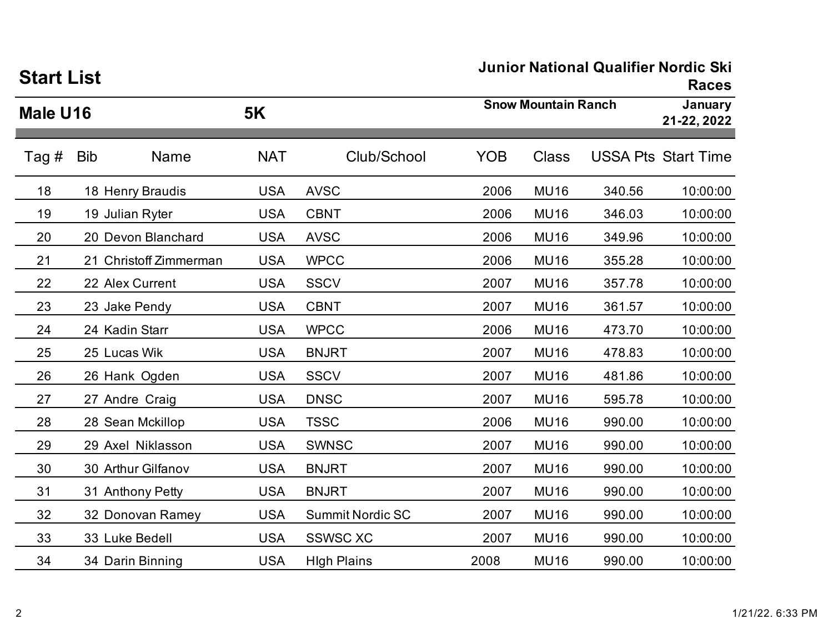| <b>Start List</b> |                           |            |                         |            |                            | Junior National Qualifier Norgic SKI | <b>Races</b>               |
|-------------------|---------------------------|------------|-------------------------|------------|----------------------------|--------------------------------------|----------------------------|
| Male U16          |                           | <b>5K</b>  |                         |            | <b>Snow Mountain Ranch</b> |                                      |                            |
| Tag #             | <b>Bib</b><br><b>Name</b> | <b>NAT</b> | Club/School             | <b>YOB</b> | <b>Class</b>               |                                      | <b>USSA Pts Start Time</b> |
| 18                | 18 Henry Braudis          | <b>USA</b> | <b>AVSC</b>             | 2006       | <b>MU16</b>                | 340.56                               | 10:00:00                   |
| 19                | 19 Julian Ryter           | <b>USA</b> | <b>CBNT</b>             | 2006       | <b>MU16</b>                | 346.03                               | 10:00:00                   |
| 20                | 20 Devon Blanchard        | <b>USA</b> | <b>AVSC</b>             | 2006       | <b>MU16</b>                | 349.96                               | 10:00:00                   |
| 21                | 21 Christoff Zimmerman    | <b>USA</b> | <b>WPCC</b>             | 2006       | <b>MU16</b>                | 355.28                               | 10:00:00                   |
| 22                | 22 Alex Current           | <b>USA</b> | <b>SSCV</b>             | 2007       | <b>MU16</b>                | 357.78                               | 10:00:00                   |
| 23                | 23 Jake Pendy             | <b>USA</b> | <b>CBNT</b>             | 2007       | <b>MU16</b>                | 361.57                               | 10:00:00                   |
| 24                | 24 Kadin Starr            | <b>USA</b> | <b>WPCC</b>             | 2006       | <b>MU16</b>                | 473.70                               | 10:00:00                   |
| 25                | 25 Lucas Wik              | <b>USA</b> | <b>BNJRT</b>            | 2007       | <b>MU16</b>                | 478.83                               | 10:00:00                   |
| 26                | 26 Hank Ogden             | <b>USA</b> | <b>SSCV</b>             | 2007       | <b>MU16</b>                | 481.86                               | 10:00:00                   |
| 27                | 27 Andre Craig            | <b>USA</b> | <b>DNSC</b>             | 2007       | <b>MU16</b>                | 595.78                               | 10:00:00                   |
| 28                | 28 Sean Mckillop          | <b>USA</b> | <b>TSSC</b>             | 2006       | <b>MU16</b>                | 990.00                               | 10:00:00                   |
| 29                | 29 Axel Niklasson         | <b>USA</b> | <b>SWNSC</b>            | 2007       | <b>MU16</b>                | 990.00                               | 10:00:00                   |
| 30                | 30 Arthur Gilfanov        | <b>USA</b> | <b>BNJRT</b>            | 2007       | <b>MU16</b>                | 990.00                               | 10:00:00                   |
| 31                | 31 Anthony Petty          | <b>USA</b> | <b>BNJRT</b>            | 2007       | <b>MU16</b>                | 990.00                               | 10:00:00                   |
| 32                | 32 Donovan Ramey          | <b>USA</b> | <b>Summit Nordic SC</b> | 2007       | <b>MU16</b>                | 990.00                               | 10:00:00                   |
| 33                | 33 Luke Bedell            | <b>USA</b> | <b>SSWSC XC</b>         | 2007       | <b>MU16</b>                | 990.00                               | 10:00:00                   |
| 34                | 34 Darin Binning          | <b>USA</b> | <b>High Plains</b>      | 2008       | <b>MU16</b>                | 990.00                               | 10:00:00                   |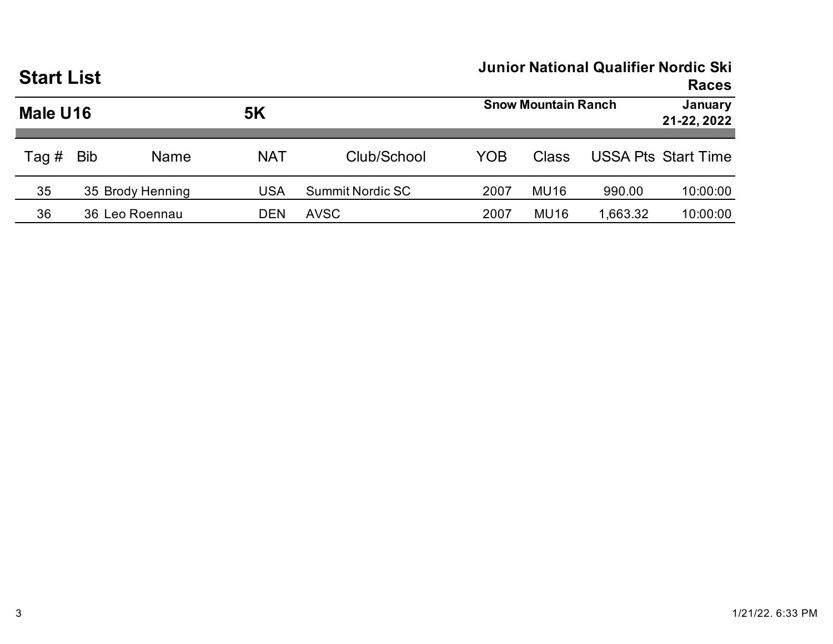| <b>Start List</b> |            |                  |            | Junior National Qualifier Nordic Ski<br><b>Races</b> |      |              |                        |                            |
|-------------------|------------|------------------|------------|------------------------------------------------------|------|--------------|------------------------|----------------------------|
| Male U16          |            |                  | <b>5K</b>  | <b>Snow Mountain Ranch</b>                           |      |              | January<br>21-22, 2022 |                            |
| Tag $#$           | <b>Bib</b> | Name             | <b>NAT</b> | Club/School                                          | YOB  | <b>Class</b> |                        | <b>USSA Pts Start Time</b> |
| 35                |            | 35 Brody Henning | <b>USA</b> | <b>Summit Nordic SC</b>                              | 2007 | <b>MU16</b>  | 990.00                 | 10:00:00                   |
| 36                |            | 36 Leo Roennau   | <b>DEN</b> | <b>AVSC</b>                                          | 2007 | <b>MU16</b>  | 1,663.32               | 10:00:00                   |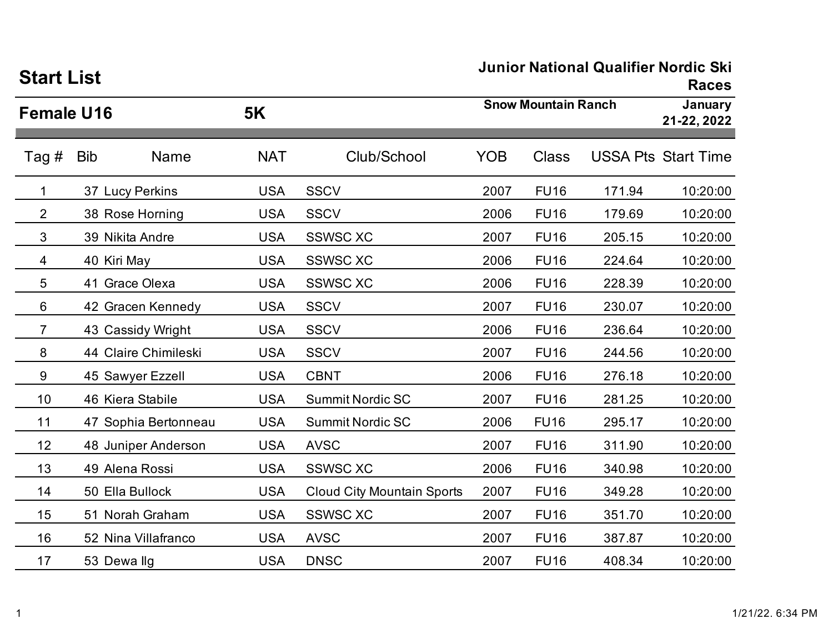| <b>Start List</b> |                      |            | Junior National Qualifier Norgic Ski | <b>Races</b>               |                        |        |                            |
|-------------------|----------------------|------------|--------------------------------------|----------------------------|------------------------|--------|----------------------------|
| <b>Female U16</b> |                      | <b>5K</b>  |                                      | <b>Snow Mountain Ranch</b> | January<br>21-22, 2022 |        |                            |
| Tag #             | <b>Bib</b><br>Name   | <b>NAT</b> | Club/School                          | <b>YOB</b>                 | <b>Class</b>           |        | <b>USSA Pts Start Time</b> |
| 1                 | 37 Lucy Perkins      | <b>USA</b> | <b>SSCV</b>                          | 2007                       | <b>FU16</b>            | 171.94 | 10:20:00                   |
| $\overline{2}$    | 38 Rose Horning      | <b>USA</b> | <b>SSCV</b>                          | 2006                       | <b>FU16</b>            | 179.69 | 10:20:00                   |
| 3                 | 39 Nikita Andre      | <b>USA</b> | <b>SSWSC XC</b>                      | 2007                       | <b>FU16</b>            | 205.15 | 10:20:00                   |
| 4                 | 40 Kiri May          | <b>USA</b> | <b>SSWSC XC</b>                      | 2006                       | <b>FU16</b>            | 224.64 | 10:20:00                   |
| 5                 | 41 Grace Olexa       | <b>USA</b> | <b>SSWSC XC</b>                      | 2006                       | <b>FU16</b>            | 228.39 | 10:20:00                   |
| 6                 | 42 Gracen Kennedy    | <b>USA</b> | <b>SSCV</b>                          | 2007                       | <b>FU16</b>            | 230.07 | 10:20:00                   |
| 7                 | 43 Cassidy Wright    | <b>USA</b> | <b>SSCV</b>                          | 2006                       | <b>FU16</b>            | 236.64 | 10:20:00                   |
| 8                 | 44 Claire Chimileski | <b>USA</b> | <b>SSCV</b>                          | 2007                       | <b>FU16</b>            | 244.56 | 10:20:00                   |
| 9                 | 45 Sawyer Ezzell     | <b>USA</b> | <b>CBNT</b>                          | 2006                       | <b>FU16</b>            | 276.18 | 10:20:00                   |
| 10                | 46 Kiera Stabile     | <b>USA</b> | <b>Summit Nordic SC</b>              | 2007                       | <b>FU16</b>            | 281.25 | 10:20:00                   |
| 11                | 47 Sophia Bertonneau | <b>USA</b> | <b>Summit Nordic SC</b>              | 2006                       | <b>FU16</b>            | 295.17 | 10:20:00                   |
| 12                | 48 Juniper Anderson  | <b>USA</b> | <b>AVSC</b>                          | 2007                       | <b>FU16</b>            | 311.90 | 10:20:00                   |
| 13                | 49 Alena Rossi       | <b>USA</b> | <b>SSWSC XC</b>                      | 2006                       | <b>FU16</b>            | 340.98 | 10:20:00                   |
| 14                | 50 Ella Bullock      | <b>USA</b> | <b>Cloud City Mountain Sports</b>    | 2007                       | <b>FU16</b>            | 349.28 | 10:20:00                   |
| 15                | 51 Norah Graham      | <b>USA</b> | <b>SSWSC XC</b>                      | 2007                       | <b>FU16</b>            | 351.70 | 10:20:00                   |
| 16                | 52 Nina Villafranco  | <b>USA</b> | <b>AVSC</b>                          | 2007                       | <b>FU16</b>            | 387.87 | 10:20:00                   |
| 17                | 53 Dewallg           | <b>USA</b> | <b>DNSC</b>                          | 2007                       | <b>FU16</b>            | 408.34 | 10:20:00                   |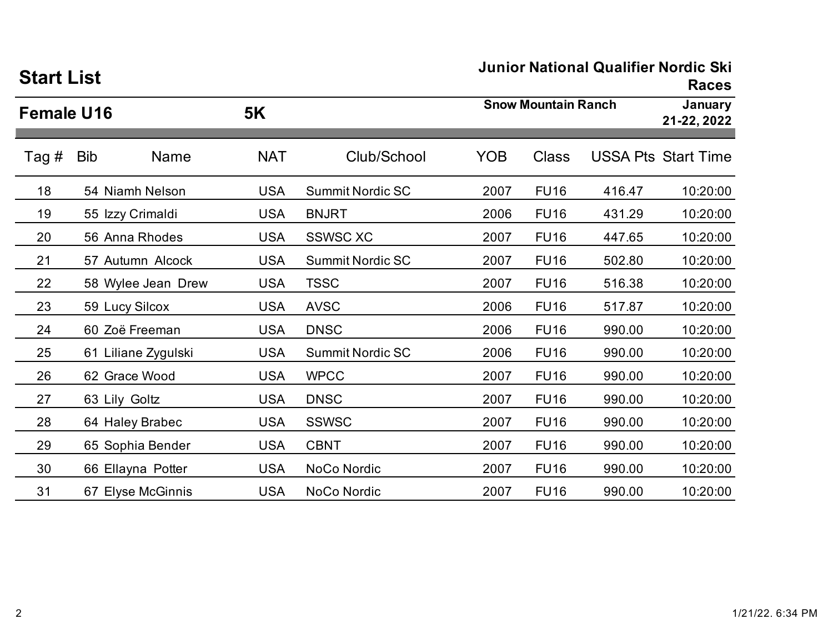| Əları List        |                     |            |                         |            |                            |        | <b>Races</b>               |  |
|-------------------|---------------------|------------|-------------------------|------------|----------------------------|--------|----------------------------|--|
| <b>Female U16</b> |                     | <b>5K</b>  |                         |            | <b>Snow Mountain Ranch</b> |        |                            |  |
| Tag #             | <b>Bib</b><br>Name  | <b>NAT</b> | Club/School             | <b>YOB</b> | <b>Class</b>               |        | <b>USSA Pts Start Time</b> |  |
| 18                | 54 Niamh Nelson     | <b>USA</b> | <b>Summit Nordic SC</b> | 2007       | <b>FU16</b>                | 416.47 | 10:20:00                   |  |
| 19                | 55 Izzy Crimaldi    | <b>USA</b> | <b>BNJRT</b>            | 2006       | <b>FU16</b>                | 431.29 | 10:20:00                   |  |
| 20                | 56 Anna Rhodes      | <b>USA</b> | <b>SSWSC XC</b>         | 2007       | <b>FU16</b>                | 447.65 | 10:20:00                   |  |
| 21                | 57 Autumn Alcock    | <b>USA</b> | <b>Summit Nordic SC</b> | 2007       | <b>FU16</b>                | 502.80 | 10:20:00                   |  |
| 22                | 58 Wylee Jean Drew  | <b>USA</b> | <b>TSSC</b>             | 2007       | <b>FU16</b>                | 516.38 | 10:20:00                   |  |
| 23                | 59 Lucy Silcox      | <b>USA</b> | <b>AVSC</b>             | 2006       | <b>FU16</b>                | 517.87 | 10:20:00                   |  |
| 24                | 60 Zoë Freeman      | <b>USA</b> | <b>DNSC</b>             | 2006       | <b>FU16</b>                | 990.00 | 10:20:00                   |  |
| 25                | 61 Liliane Zygulski | <b>USA</b> | <b>Summit Nordic SC</b> | 2006       | <b>FU16</b>                | 990.00 | 10:20:00                   |  |
| 26                | 62 Grace Wood       | <b>USA</b> | <b>WPCC</b>             | 2007       | <b>FU16</b>                | 990.00 | 10:20:00                   |  |
| 27                | 63 Lily Goltz       | <b>USA</b> | <b>DNSC</b>             | 2007       | <b>FU16</b>                | 990.00 | 10:20:00                   |  |
| 28                | 64 Haley Brabec     | <b>USA</b> | <b>SSWSC</b>            | 2007       | <b>FU16</b>                | 990.00 | 10:20:00                   |  |
| 29                | 65 Sophia Bender    | <b>USA</b> | <b>CBNT</b>             | 2007       | <b>FU16</b>                | 990.00 | 10:20:00                   |  |
| 30                | 66 Ellayna Potter   | <b>USA</b> | NoCo Nordic             | 2007       | <b>FU16</b>                | 990.00 | 10:20:00                   |  |
| 31                | 67 Elyse McGinnis   | <b>USA</b> | NoCo Nordic             | 2007       | <b>FU16</b>                | 990.00 | 10:20:00                   |  |

# **Start List**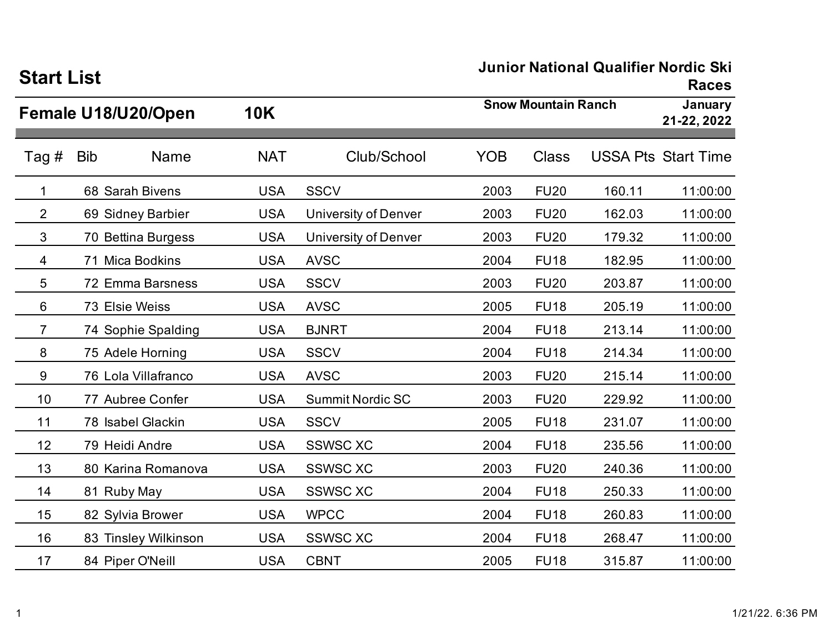| <b>Start List</b> |                           |            |                             | Junior National Qualifier Nordic Ski |              |                        |                            |  |
|-------------------|---------------------------|------------|-----------------------------|--------------------------------------|--------------|------------------------|----------------------------|--|
|                   | Female U18/U20/Open       | <b>10K</b> |                             | <b>Snow Mountain Ranch</b>           |              | January<br>21-22, 2022 |                            |  |
| Tag #             | <b>Bib</b><br><b>Name</b> | <b>NAT</b> | Club/School                 | <b>YOB</b>                           | <b>Class</b> |                        | <b>USSA Pts Start Time</b> |  |
| 1                 | 68 Sarah Bivens           | <b>USA</b> | <b>SSCV</b>                 | 2003                                 | <b>FU20</b>  | 160.11                 | 11:00:00                   |  |
| $\overline{2}$    | 69 Sidney Barbier         | <b>USA</b> | <b>University of Denver</b> | 2003                                 | <b>FU20</b>  | 162.03                 | 11:00:00                   |  |
| 3                 | 70 Bettina Burgess        | <b>USA</b> | University of Denver        | 2003                                 | <b>FU20</b>  | 179.32                 | 11:00:00                   |  |
| 4                 | 71 Mica Bodkins           | <b>USA</b> | <b>AVSC</b>                 | 2004                                 | <b>FU18</b>  | 182.95                 | 11:00:00                   |  |
| 5                 | 72 Emma Barsness          | <b>USA</b> | <b>SSCV</b>                 | 2003                                 | <b>FU20</b>  | 203.87                 | 11:00:00                   |  |
| 6                 | 73 Elsie Weiss            | <b>USA</b> | <b>AVSC</b>                 | 2005                                 | <b>FU18</b>  | 205.19                 | 11:00:00                   |  |
| $\overline{7}$    | 74 Sophie Spalding        | <b>USA</b> | <b>BJNRT</b>                | 2004                                 | <b>FU18</b>  | 213.14                 | 11:00:00                   |  |
| 8                 | 75 Adele Horning          | <b>USA</b> | <b>SSCV</b>                 | 2004                                 | <b>FU18</b>  | 214.34                 | 11:00:00                   |  |
| 9                 | 76 Lola Villafranco       | <b>USA</b> | <b>AVSC</b>                 | 2003                                 | <b>FU20</b>  | 215.14                 | 11:00:00                   |  |
| 10                | 77 Aubree Confer          | <b>USA</b> | <b>Summit Nordic SC</b>     | 2003                                 | <b>FU20</b>  | 229.92                 | 11:00:00                   |  |
| 11                | 78 Isabel Glackin         | <b>USA</b> | <b>SSCV</b>                 | 2005                                 | <b>FU18</b>  | 231.07                 | 11:00:00                   |  |
| 12                | 79 Heidi Andre            | <b>USA</b> | <b>SSWSC XC</b>             | 2004                                 | <b>FU18</b>  | 235.56                 | 11:00:00                   |  |
| 13                | 80 Karina Romanova        | <b>USA</b> | <b>SSWSC XC</b>             | 2003                                 | <b>FU20</b>  | 240.36                 | 11:00:00                   |  |
| 14                | 81 Ruby May               | <b>USA</b> | <b>SSWSC XC</b>             | 2004                                 | <b>FU18</b>  | 250.33                 | 11:00:00                   |  |
| 15                | 82 Sylvia Brower          | <b>USA</b> | <b>WPCC</b>                 | 2004                                 | <b>FU18</b>  | 260.83                 | 11:00:00                   |  |
| 16                | 83 Tinsley Wilkinson      | <b>USA</b> | <b>SSWSC XC</b>             | 2004                                 | <b>FU18</b>  | 268.47                 | 11:00:00                   |  |
| 17                | 84 Piper O'Neill          | <b>USA</b> | <b>CBNT</b>                 | 2005                                 | <b>FU18</b>  | 315.87                 | 11:00:00                   |  |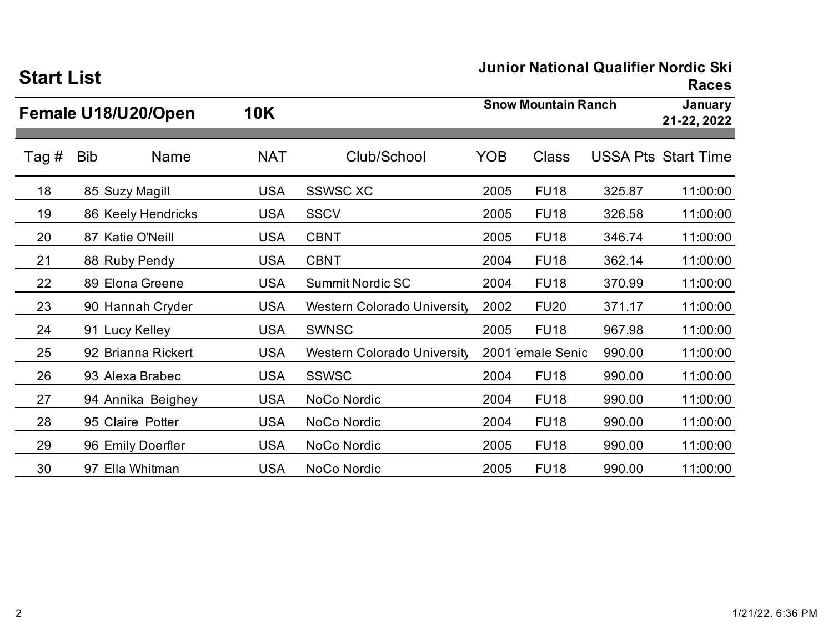| ƏTATT LIST |     |                     |            |                                    |                            |                  |        | <b>Races</b>               |
|------------|-----|---------------------|------------|------------------------------------|----------------------------|------------------|--------|----------------------------|
|            |     | Female U18/U20/Open | <b>10K</b> |                                    | <b>Snow Mountain Ranch</b> |                  |        | January<br>21-22, 2022     |
| Tag #      | Bib | Name                | <b>NAT</b> | Club/School                        | <b>YOB</b>                 | <b>Class</b>     |        | <b>USSA Pts Start Time</b> |
| 18         |     | 85 Suzy Magill      | <b>USA</b> | <b>SSWSC XC</b>                    | 2005                       | <b>FU18</b>      | 325.87 | 11:00:00                   |
| 19         |     | 86 Keely Hendricks  | <b>USA</b> | <b>SSCV</b>                        | 2005                       | <b>FU18</b>      | 326.58 | 11:00:00                   |
| 20         |     | 87 Katie O'Neill    | <b>USA</b> | <b>CBNT</b>                        | 2005                       | <b>FU18</b>      | 346.74 | 11:00:00                   |
| 21         |     | 88 Ruby Pendy       | <b>USA</b> | <b>CBNT</b>                        | 2004                       | <b>FU18</b>      | 362.14 | 11:00:00                   |
| 22         |     | 89 Elona Greene     | <b>USA</b> | <b>Summit Nordic SC</b>            | 2004                       | <b>FU18</b>      | 370.99 | 11:00:00                   |
| 23         |     | 90 Hannah Cryder    | <b>USA</b> | <b>Western Colorado University</b> | 2002                       | <b>FU20</b>      | 371.17 | 11:00:00                   |
| 24         |     | 91 Lucy Kelley      | <b>USA</b> | <b>SWNSC</b>                       | 2005                       | <b>FU18</b>      | 967.98 | 11:00:00                   |
| 25         |     | 92 Brianna Rickert  | <b>USA</b> | <b>Western Colorado University</b> |                            | 2001 emale Senic | 990.00 | 11:00:00                   |
| 26         |     | 93 Alexa Brabec     | <b>USA</b> | <b>SSWSC</b>                       | 2004                       | <b>FU18</b>      | 990.00 | 11:00:00                   |
| 27         |     | 94 Annika Beighey   | <b>USA</b> | NoCo Nordic                        | 2004                       | <b>FU18</b>      | 990.00 | 11:00:00                   |
| 28         |     | 95 Claire Potter    | <b>USA</b> | NoCo Nordic                        | 2004                       | <b>FU18</b>      | 990.00 | 11:00:00                   |
| 29         |     | 96 Emily Doerfler   | <b>USA</b> | NoCo Nordic                        | 2005                       | <b>FU18</b>      | 990.00 | 11:00:00                   |
| 30         |     | 97 Ella Whitman     | <b>USA</b> | NoCo Nordic                        | 2005                       | <b>FU18</b>      | 990.00 | 11:00:00                   |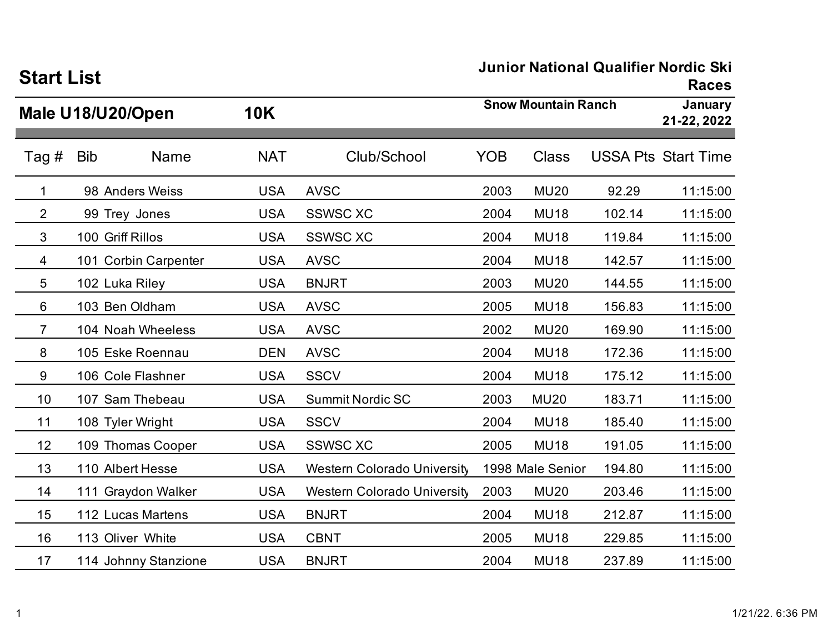| <b>Start List</b> |            |                      |            |                                    |            |                            | Junior National Qualifier Norgic Ski<br><b>Races</b> |                            |  |
|-------------------|------------|----------------------|------------|------------------------------------|------------|----------------------------|------------------------------------------------------|----------------------------|--|
|                   |            | Male U18/U20/Open    | <b>10K</b> |                                    |            | <b>Snow Mountain Ranch</b> |                                                      |                            |  |
| Tag $#$           | <b>Bib</b> | Name                 | <b>NAT</b> | Club/School                        | <b>YOB</b> | Class                      |                                                      | <b>USSA Pts Start Time</b> |  |
| $\mathbf 1$       |            | 98 Anders Weiss      | <b>USA</b> | <b>AVSC</b>                        | 2003       | <b>MU20</b>                | 92.29                                                | 11:15:00                   |  |
| $\overline{2}$    |            | 99 Trey Jones        | <b>USA</b> | <b>SSWSC XC</b>                    | 2004       | <b>MU18</b>                | 102.14                                               | 11:15:00                   |  |
| 3                 |            | 100 Griff Rillos     | <b>USA</b> | <b>SSWSC XC</b>                    | 2004       | <b>MU18</b>                | 119.84                                               | 11:15:00                   |  |
| 4                 |            | 101 Corbin Carpenter | <b>USA</b> | <b>AVSC</b>                        | 2004       | <b>MU18</b>                | 142.57                                               | 11:15:00                   |  |
| 5                 |            | 102 Luka Riley       | <b>USA</b> | <b>BNJRT</b>                       | 2003       | <b>MU20</b>                | 144.55                                               | 11:15:00                   |  |
| 6                 |            | 103 Ben Oldham       | <b>USA</b> | <b>AVSC</b>                        | 2005       | <b>MU18</b>                | 156.83                                               | 11:15:00                   |  |
| 7                 |            | 104 Noah Wheeless    | <b>USA</b> | <b>AVSC</b>                        | 2002       | <b>MU20</b>                | 169.90                                               | 11:15:00                   |  |
| 8                 |            | 105 Eske Roennau     | <b>DEN</b> | <b>AVSC</b>                        | 2004       | <b>MU18</b>                | 172.36                                               | 11:15:00                   |  |
| 9                 |            | 106 Cole Flashner    | <b>USA</b> | <b>SSCV</b>                        | 2004       | <b>MU18</b>                | 175.12                                               | 11:15:00                   |  |
| 10                |            | 107 Sam Thebeau      | <b>USA</b> | <b>Summit Nordic SC</b>            | 2003       | <b>MU20</b>                | 183.71                                               | 11:15:00                   |  |
| 11                |            | 108 Tyler Wright     | <b>USA</b> | <b>SSCV</b>                        | 2004       | <b>MU18</b>                | 185.40                                               | 11:15:00                   |  |
| 12                |            | 109 Thomas Cooper    | <b>USA</b> | <b>SSWSC XC</b>                    | 2005       | <b>MU18</b>                | 191.05                                               | 11:15:00                   |  |
| 13                |            | 110 Albert Hesse     | <b>USA</b> | <b>Western Colorado University</b> |            | 1998 Male Senior           | 194.80                                               | 11:15:00                   |  |
| 14                |            | 111 Graydon Walker   | <b>USA</b> | <b>Western Colorado University</b> | 2003       | <b>MU20</b>                | 203.46                                               | 11:15:00                   |  |
| 15                |            | 112 Lucas Martens    | <b>USA</b> | <b>BNJRT</b>                       | 2004       | <b>MU18</b>                | 212.87                                               | 11:15:00                   |  |
| 16                |            | 113 Oliver White     | <b>USA</b> | <b>CBNT</b>                        | 2005       | <b>MU18</b>                | 229.85                                               | 11:15:00                   |  |
| 17                |            | 114 Johnny Stanzione | <b>USA</b> | <b>BNJRT</b>                       | 2004       | <b>MU18</b>                | 237.89                                               | 11:15:00                   |  |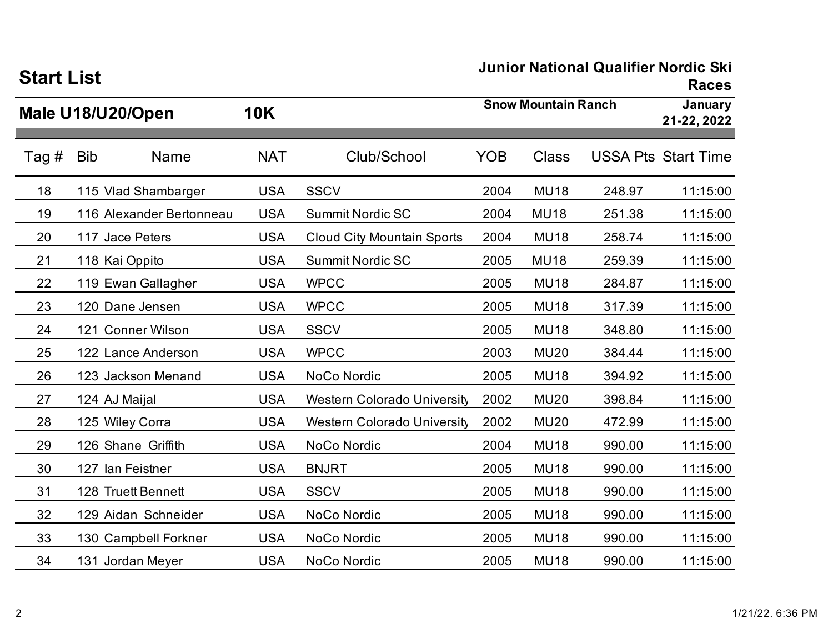| <b>Start List</b> |            |                          |            |                                    |                            |                        | Junior National Qualifier Norgic SKI | <b>Races</b>               |
|-------------------|------------|--------------------------|------------|------------------------------------|----------------------------|------------------------|--------------------------------------|----------------------------|
|                   |            | Male U18/U20/Open        | <b>10K</b> |                                    | <b>Snow Mountain Ranch</b> | January<br>21-22, 2022 |                                      |                            |
| Tag #             | <b>Bib</b> | <b>Name</b>              | <b>NAT</b> | Club/School                        | <b>YOB</b>                 | <b>Class</b>           |                                      | <b>USSA Pts Start Time</b> |
| 18                |            | 115 Vlad Shambarger      | <b>USA</b> | <b>SSCV</b>                        | 2004                       | <b>MU18</b>            | 248.97                               | 11:15:00                   |
| 19                |            | 116 Alexander Bertonneau | <b>USA</b> | <b>Summit Nordic SC</b>            | 2004                       | <b>MU18</b>            | 251.38                               | 11:15:00                   |
| 20                |            | 117 Jace Peters          | <b>USA</b> | <b>Cloud City Mountain Sports</b>  | 2004                       | <b>MU18</b>            | 258.74                               | 11:15:00                   |
| 21                |            | 118 Kai Oppito           | <b>USA</b> | <b>Summit Nordic SC</b>            | 2005                       | <b>MU18</b>            | 259.39                               | 11:15:00                   |
| 22                |            | 119 Ewan Gallagher       | <b>USA</b> | <b>WPCC</b>                        | 2005                       | <b>MU18</b>            | 284.87                               | 11:15:00                   |
| 23                |            | 120 Dane Jensen          | <b>USA</b> | <b>WPCC</b>                        | 2005                       | <b>MU18</b>            | 317.39                               | 11:15:00                   |
| 24                |            | 121 Conner Wilson        | <b>USA</b> | <b>SSCV</b>                        | 2005                       | <b>MU18</b>            | 348.80                               | 11:15:00                   |
| 25                |            | 122 Lance Anderson       | <b>USA</b> | <b>WPCC</b>                        | 2003                       | <b>MU20</b>            | 384.44                               | 11:15:00                   |
| 26                |            | 123 Jackson Menand       | <b>USA</b> | NoCo Nordic                        | 2005                       | <b>MU18</b>            | 394.92                               | 11:15:00                   |
| 27                |            | 124 AJ Maijal            | <b>USA</b> | <b>Western Colorado University</b> | 2002                       | <b>MU20</b>            | 398.84                               | 11:15:00                   |
| 28                |            | 125 Wiley Corra          | <b>USA</b> | <b>Western Colorado University</b> | 2002                       | <b>MU20</b>            | 472.99                               | 11:15:00                   |
| 29                |            | 126 Shane Griffith       | <b>USA</b> | NoCo Nordic                        | 2004                       | <b>MU18</b>            | 990.00                               | 11:15:00                   |
| 30                |            | 127 Ian Feistner         | <b>USA</b> | <b>BNJRT</b>                       | 2005                       | <b>MU18</b>            | 990.00                               | 11:15:00                   |
| 31                |            | 128 Truett Bennett       | <b>USA</b> | <b>SSCV</b>                        | 2005                       | <b>MU18</b>            | 990.00                               | 11:15:00                   |
| 32                |            | 129 Aidan Schneider      | <b>USA</b> | NoCo Nordic                        | 2005                       | <b>MU18</b>            | 990.00                               | 11:15:00                   |
| 33                |            | 130 Campbell Forkner     | <b>USA</b> | NoCo Nordic                        | 2005                       | <b>MU18</b>            | 990.00                               | 11:15:00                   |
| 34                |            | 131 Jordan Meyer         | <b>USA</b> | NoCo Nordic                        | 2005                       | <b>MU18</b>            | 990.00                               | 11:15:00                   |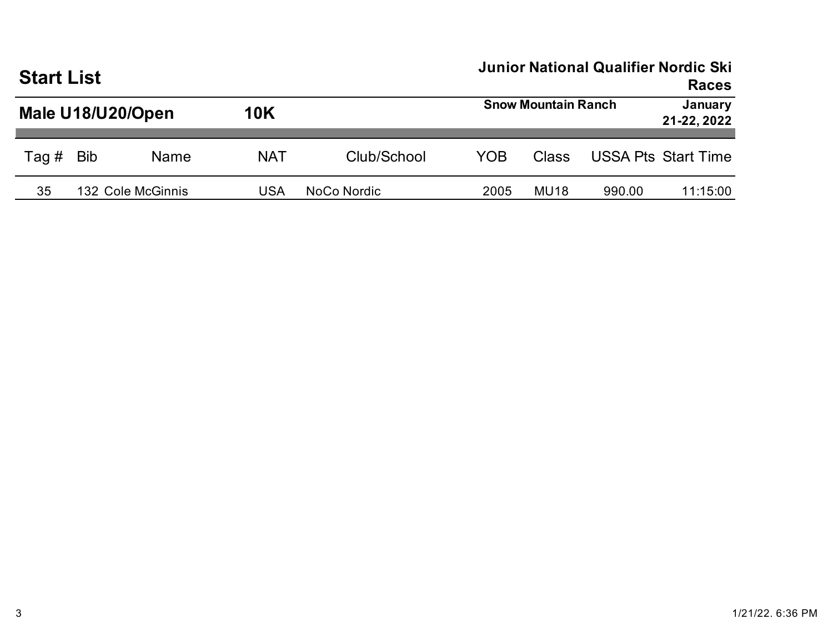|                   | <b>Start List</b> |                   |            |             |                            |                  | <b>Junior National Qualifier Nordic Ski</b> | <b>Races</b>               |
|-------------------|-------------------|-------------------|------------|-------------|----------------------------|------------------|---------------------------------------------|----------------------------|
| Male U18/U20/Open |                   |                   | <b>10K</b> |             | <b>Snow Mountain Ranch</b> |                  |                                             | January<br>21-22, 2022     |
| Tag #             | <b>Bib</b>        | Name              | <b>NAT</b> | Club/School | YOB                        | Class            |                                             | <b>USSA Pts Start Time</b> |
| 35                |                   | 132 Cole McGinnis | USA        | NoCo Nordic | 2005                       | MU <sub>18</sub> | 990.00                                      | 11:15:00                   |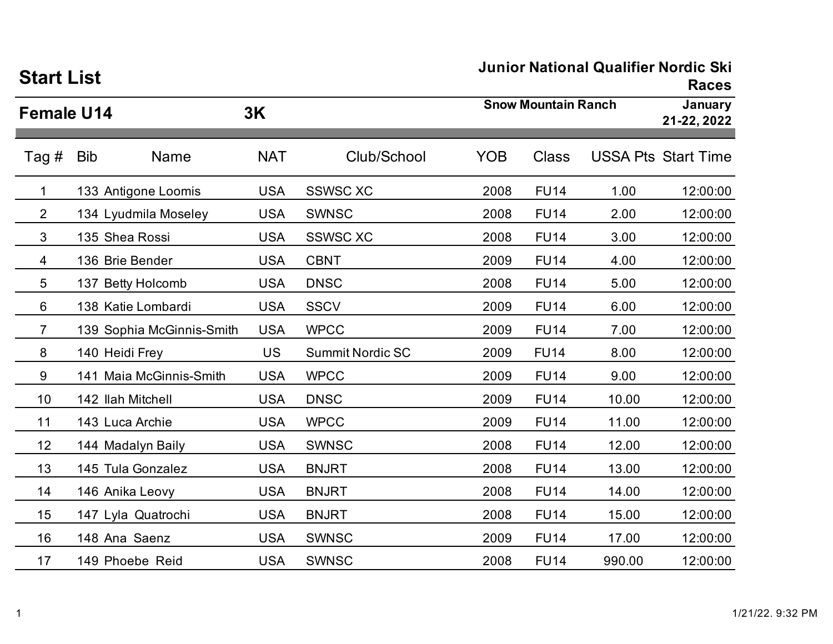| <b>Start List</b> |                           |            |                         | Junior National Qualifier Norgic Ski<br><b>Races</b> |                            |        |                            |  |
|-------------------|---------------------------|------------|-------------------------|------------------------------------------------------|----------------------------|--------|----------------------------|--|
| <b>Female U14</b> |                           | 3K         |                         |                                                      | <b>Snow Mountain Ranch</b> |        |                            |  |
| Tag #             | <b>Bib</b><br><b>Name</b> | <b>NAT</b> | Club/School             | <b>YOB</b>                                           | Class                      |        | <b>USSA Pts Start Time</b> |  |
| 1                 | 133 Antigone Loomis       | <b>USA</b> | <b>SSWSC XC</b>         | 2008                                                 | <b>FU14</b>                | 1.00   | 12:00:00                   |  |
| 2                 | 134 Lyudmila Moseley      | <b>USA</b> | <b>SWNSC</b>            | 2008                                                 | <b>FU14</b>                | 2.00   | 12:00:00                   |  |
| 3                 | 135 Shea Rossi            | <b>USA</b> | <b>SSWSC XC</b>         | 2008                                                 | <b>FU14</b>                | 3.00   | 12:00:00                   |  |
| 4                 | 136 Brie Bender           | <b>USA</b> | <b>CBNT</b>             | 2009                                                 | <b>FU14</b>                | 4.00   | 12:00:00                   |  |
| 5                 | 137 Betty Holcomb         | <b>USA</b> | <b>DNSC</b>             | 2008                                                 | <b>FU14</b>                | 5.00   | 12:00:00                   |  |
| 6                 | 138 Katie Lombardi        | <b>USA</b> | <b>SSCV</b>             | 2009                                                 | <b>FU14</b>                | 6.00   | 12:00:00                   |  |
| $\overline{7}$    | 139 Sophia McGinnis-Smith | <b>USA</b> | <b>WPCC</b>             | 2009                                                 | <b>FU14</b>                | 7.00   | 12:00:00                   |  |
| 8                 | 140 Heidi Frey            | <b>US</b>  | <b>Summit Nordic SC</b> | 2009                                                 | <b>FU14</b>                | 8.00   | 12:00:00                   |  |
| 9                 | 141 Maia McGinnis-Smith   | <b>USA</b> | <b>WPCC</b>             | 2009                                                 | <b>FU14</b>                | 9.00   | 12:00:00                   |  |
| 10                | 142 Ilah Mitchell         | <b>USA</b> | <b>DNSC</b>             | 2009                                                 | <b>FU14</b>                | 10.00  | 12:00:00                   |  |
| 11                | 143 Luca Archie           | <b>USA</b> | <b>WPCC</b>             | 2009                                                 | <b>FU14</b>                | 11.00  | 12:00:00                   |  |
| 12                | 144 Madalyn Baily         | <b>USA</b> | <b>SWNSC</b>            | 2008                                                 | <b>FU14</b>                | 12.00  | 12:00:00                   |  |
| 13                | 145 Tula Gonzalez         | <b>USA</b> | <b>BNJRT</b>            | 2008                                                 | <b>FU14</b>                | 13.00  | 12:00:00                   |  |
| 14                | 146 Anika Leovy           | <b>USA</b> | <b>BNJRT</b>            | 2008                                                 | <b>FU14</b>                | 14.00  | 12:00:00                   |  |
| 15                | 147 Lyla Quatrochi        | <b>USA</b> | <b>BNJRT</b>            | 2008                                                 | <b>FU14</b>                | 15.00  | 12:00:00                   |  |
| 16                | 148 Ana Saenz             | <b>USA</b> | <b>SWNSC</b>            | 2009                                                 | <b>FU14</b>                | 17.00  | 12:00:00                   |  |
| 17                | 149 Phoebe Reid           | <b>USA</b> | <b>SWNSC</b>            | 2008                                                 | <b>FU14</b>                | 990.00 | 12:00:00                   |  |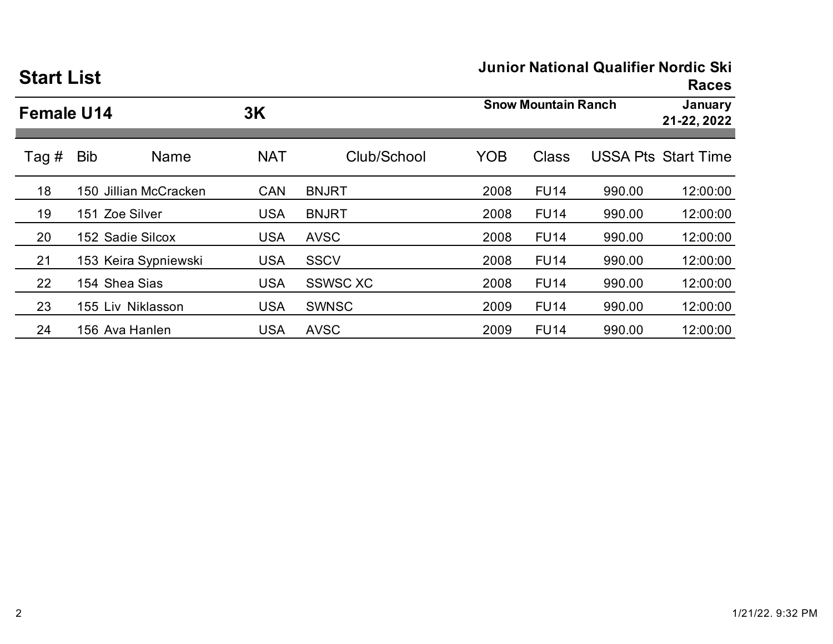| <b>Start List</b> |                   |                       |            |                 | <b>Junior National Qualifier Nordic Ski</b><br><b>Races</b> |              |        |                            |  |
|-------------------|-------------------|-----------------------|------------|-----------------|-------------------------------------------------------------|--------------|--------|----------------------------|--|
|                   | <b>Female U14</b> |                       |            |                 | <b>Snow Mountain Ranch</b>                                  |              |        | January<br>21-22, 2022     |  |
| Tag #             | <b>Bib</b>        | <b>Name</b>           | <b>NAT</b> | Club/School     | <b>YOB</b>                                                  | <b>Class</b> |        | <b>USSA Pts Start Time</b> |  |
| 18                |                   | 150 Jillian McCracken | <b>CAN</b> | <b>BNJRT</b>    | 2008                                                        | <b>FU14</b>  | 990.00 | 12:00:00                   |  |
| 19                |                   | 151 Zoe Silver        | <b>USA</b> | <b>BNJRT</b>    | 2008                                                        | <b>FU14</b>  | 990.00 | 12:00:00                   |  |
| 20                |                   | 152 Sadie Silcox      | <b>USA</b> | <b>AVSC</b>     | 2008                                                        | <b>FU14</b>  | 990.00 | 12:00:00                   |  |
| 21                |                   | 153 Keira Sypniewski  | <b>USA</b> | <b>SSCV</b>     | 2008                                                        | <b>FU14</b>  | 990.00 | 12:00:00                   |  |
| 22                |                   | 154 Shea Sias         | <b>USA</b> | <b>SSWSC XC</b> | 2008                                                        | <b>FU14</b>  | 990.00 | 12:00:00                   |  |
| 23                |                   | 155 Liv Niklasson     | <b>USA</b> | <b>SWNSC</b>    | 2009                                                        | <b>FU14</b>  | 990.00 | 12:00:00                   |  |
| 24                |                   | 156 Ava Hanlen        | <b>USA</b> | <b>AVSC</b>     | 2009                                                        | <b>FU14</b>  | 990.00 | 12:00:00                   |  |

2 1/21/22. 9:32 PM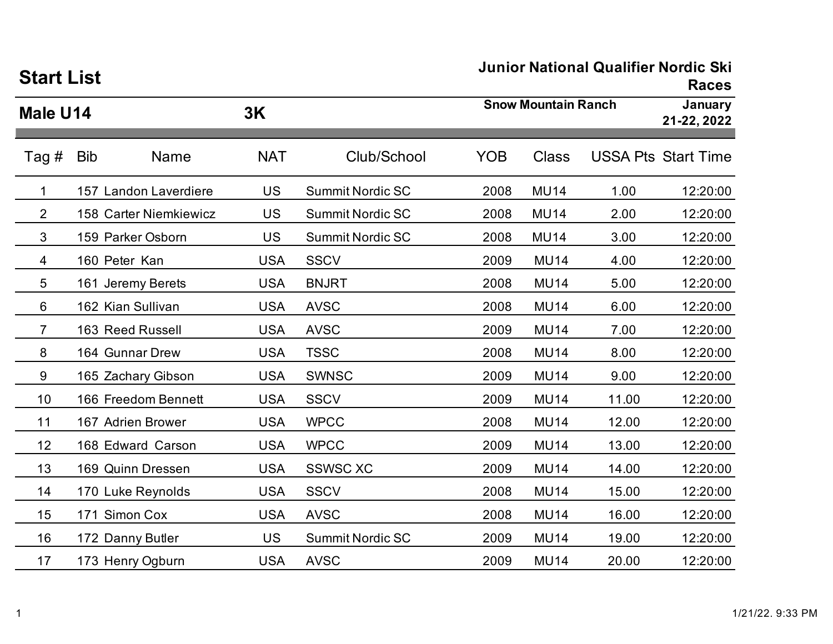| <b>Start List</b> |                        |            | JUINOI NAUONAI QUAINIEI NOIUIC SKI<br><b>Races</b> |            |                            |       |                            |
|-------------------|------------------------|------------|----------------------------------------------------|------------|----------------------------|-------|----------------------------|
| 3K<br>Male U14    |                        |            |                                                    |            | <b>Snow Mountain Ranch</b> |       | January<br>21-22, 2022     |
| Tag #             | <b>Bib</b><br>Name     | <b>NAT</b> | Club/School                                        | <b>YOB</b> | <b>Class</b>               |       | <b>USSA Pts Start Time</b> |
| 1                 | 157 Landon Laverdiere  | <b>US</b>  | <b>Summit Nordic SC</b>                            | 2008       | <b>MU14</b>                | 1.00  | 12:20:00                   |
| $\overline{2}$    | 158 Carter Niemkiewicz | <b>US</b>  | <b>Summit Nordic SC</b>                            | 2008       | <b>MU14</b>                | 2.00  | 12:20:00                   |
| 3                 | 159 Parker Osborn      | <b>US</b>  | <b>Summit Nordic SC</b>                            | 2008       | <b>MU14</b>                | 3.00  | 12:20:00                   |
| 4                 | 160 Peter Kan          | <b>USA</b> | <b>SSCV</b>                                        | 2009       | <b>MU14</b>                | 4.00  | 12:20:00                   |
| 5                 | 161 Jeremy Berets      | <b>USA</b> | <b>BNJRT</b>                                       | 2008       | <b>MU14</b>                | 5.00  | 12:20:00                   |
| 6                 | 162 Kian Sullivan      | <b>USA</b> | <b>AVSC</b>                                        | 2008       | <b>MU14</b>                | 6.00  | 12:20:00                   |
| $\overline{7}$    | 163 Reed Russell       | <b>USA</b> | <b>AVSC</b>                                        | 2009       | <b>MU14</b>                | 7.00  | 12:20:00                   |
| 8                 | 164 Gunnar Drew        | <b>USA</b> | <b>TSSC</b>                                        | 2008       | <b>MU14</b>                | 8.00  | 12:20:00                   |
| 9                 | 165 Zachary Gibson     | <b>USA</b> | <b>SWNSC</b>                                       | 2009       | <b>MU14</b>                | 9.00  | 12:20:00                   |
| 10                | 166 Freedom Bennett    | <b>USA</b> | <b>SSCV</b>                                        | 2009       | <b>MU14</b>                | 11.00 | 12:20:00                   |
| 11                | 167 Adrien Brower      | <b>USA</b> | <b>WPCC</b>                                        | 2008       | <b>MU14</b>                | 12.00 | 12:20:00                   |
| 12                | 168 Edward Carson      | <b>USA</b> | <b>WPCC</b>                                        | 2009       | <b>MU14</b>                | 13.00 | 12:20:00                   |
| 13                | 169 Quinn Dressen      | <b>USA</b> | <b>SSWSC XC</b>                                    | 2009       | <b>MU14</b>                | 14.00 | 12:20:00                   |
| 14                | 170 Luke Reynolds      | <b>USA</b> | <b>SSCV</b>                                        | 2008       | <b>MU14</b>                | 15.00 | 12:20:00                   |
| 15                | 171 Simon Cox          | <b>USA</b> | <b>AVSC</b>                                        | 2008       | <b>MU14</b>                | 16.00 | 12:20:00                   |
| 16                | 172 Danny Butler       | <b>US</b>  | <b>Summit Nordic SC</b>                            | 2009       | <b>MU14</b>                | 19.00 | 12:20:00                   |
| 17                | 173 Henry Ogburn       | <b>USA</b> | <b>AVSC</b>                                        | 2009       | <b>MU14</b>                | 20.00 | 12:20:00                   |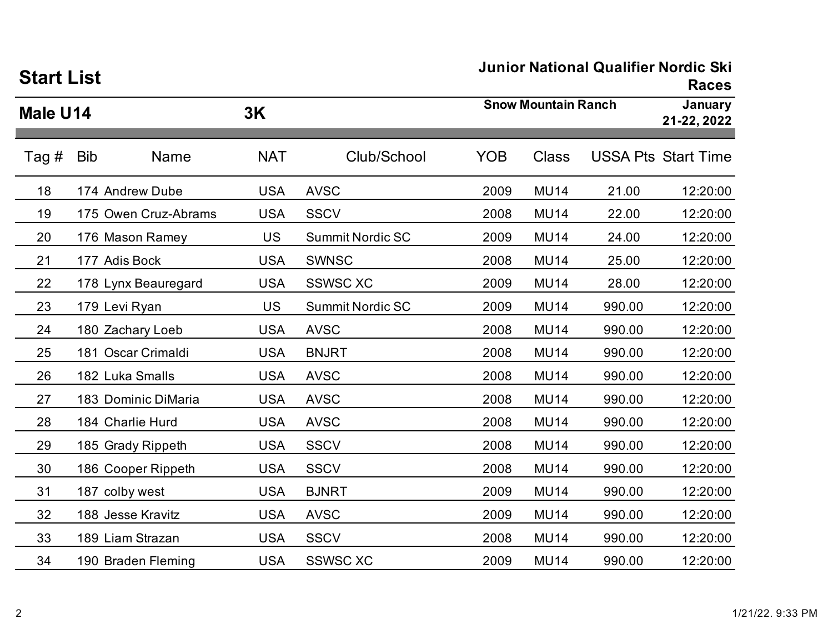| <b>Start List</b> |            |                      |            |                            | Junior National Qualifier Norgic SKI<br><b>Races</b> |              |                        |                            |
|-------------------|------------|----------------------|------------|----------------------------|------------------------------------------------------|--------------|------------------------|----------------------------|
| Male U14          |            | 3K                   |            | <b>Snow Mountain Ranch</b> |                                                      |              | January<br>21-22, 2022 |                            |
| Tag #             | <b>Bib</b> | <b>Name</b>          | <b>NAT</b> | Club/School                | <b>YOB</b>                                           | <b>Class</b> |                        | <b>USSA Pts Start Time</b> |
| 18                |            | 174 Andrew Dube      | <b>USA</b> | <b>AVSC</b>                | 2009                                                 | <b>MU14</b>  | 21.00                  | 12:20:00                   |
| 19                |            | 175 Owen Cruz-Abrams | <b>USA</b> | <b>SSCV</b>                | 2008                                                 | <b>MU14</b>  | 22.00                  | 12:20:00                   |
| 20                |            | 176 Mason Ramey      | <b>US</b>  | <b>Summit Nordic SC</b>    | 2009                                                 | <b>MU14</b>  | 24.00                  | 12:20:00                   |
| 21                |            | 177 Adis Bock        | <b>USA</b> | <b>SWNSC</b>               | 2008                                                 | <b>MU14</b>  | 25.00                  | 12:20:00                   |
| 22                |            | 178 Lynx Beauregard  | <b>USA</b> | <b>SSWSC XC</b>            | 2009                                                 | <b>MU14</b>  | 28.00                  | 12:20:00                   |
| 23                |            | 179 Levi Ryan        | <b>US</b>  | <b>Summit Nordic SC</b>    | 2009                                                 | <b>MU14</b>  | 990.00                 | 12:20:00                   |
| 24                |            | 180 Zachary Loeb     | <b>USA</b> | <b>AVSC</b>                | 2008                                                 | <b>MU14</b>  | 990.00                 | 12:20:00                   |
| 25                |            | 181 Oscar Crimaldi   | <b>USA</b> | <b>BNJRT</b>               | 2008                                                 | <b>MU14</b>  | 990.00                 | 12:20:00                   |
| 26                |            | 182 Luka Smalls      | <b>USA</b> | <b>AVSC</b>                | 2008                                                 | <b>MU14</b>  | 990.00                 | 12:20:00                   |
| 27                |            | 183 Dominic DiMaria  | <b>USA</b> | <b>AVSC</b>                | 2008                                                 | <b>MU14</b>  | 990.00                 | 12:20:00                   |
| 28                |            | 184 Charlie Hurd     | <b>USA</b> | <b>AVSC</b>                | 2008                                                 | <b>MU14</b>  | 990.00                 | 12:20:00                   |
| 29                |            | 185 Grady Rippeth    | <b>USA</b> | <b>SSCV</b>                | 2008                                                 | <b>MU14</b>  | 990.00                 | 12:20:00                   |
| 30                |            | 186 Cooper Rippeth   | <b>USA</b> | <b>SSCV</b>                | 2008                                                 | <b>MU14</b>  | 990.00                 | 12:20:00                   |
| 31                |            | 187 colby west       | <b>USA</b> | <b>BJNRT</b>               | 2009                                                 | <b>MU14</b>  | 990.00                 | 12:20:00                   |
| 32                |            | 188 Jesse Kravitz    | <b>USA</b> | <b>AVSC</b>                | 2009                                                 | <b>MU14</b>  | 990.00                 | 12:20:00                   |
| 33                |            | 189 Liam Strazan     | <b>USA</b> | <b>SSCV</b>                | 2008                                                 | <b>MU14</b>  | 990.00                 | 12:20:00                   |
| 34                |            | 190 Braden Fleming   | <b>USA</b> | <b>SSWSC XC</b>            | 2009                                                 | <b>MU14</b>  | 990.00                 | 12:20:00                   |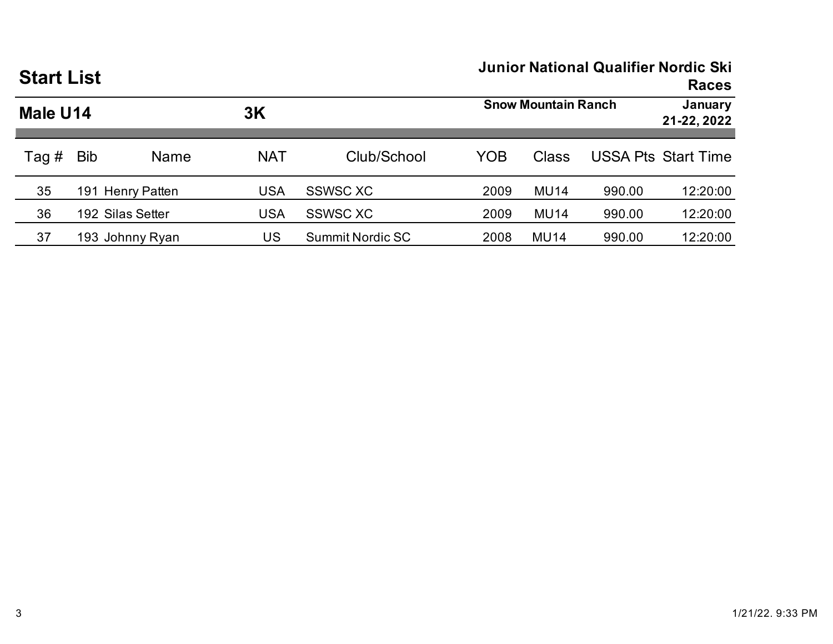| <b>Start List</b> |            |                  |            | <b>Junior National Qualifier Nordic Ski</b><br><b>Races</b> |                            |             |        |                            |  |
|-------------------|------------|------------------|------------|-------------------------------------------------------------|----------------------------|-------------|--------|----------------------------|--|
| Male U14          |            |                  | 3K         |                                                             | <b>Snow Mountain Ranch</b> |             |        | January<br>21-22, 2022     |  |
| Tag #             | <b>Bib</b> | <b>Name</b>      | <b>NAT</b> | Club/School                                                 | YOB                        | Class       |        | <b>USSA Pts Start Time</b> |  |
| 35                |            | 191 Henry Patten | <b>USA</b> | <b>SSWSC XC</b>                                             | 2009                       | <b>MU14</b> | 990.00 | 12:20:00                   |  |
| 36                |            | 192 Silas Setter | USA        | <b>SSWSC XC</b>                                             | 2009                       | <b>MU14</b> | 990.00 | 12:20:00                   |  |
| 37                |            | 193 Johnny Ryan  | US         | <b>Summit Nordic SC</b>                                     | 2008                       | <b>MU14</b> | 990.00 | 12:20:00                   |  |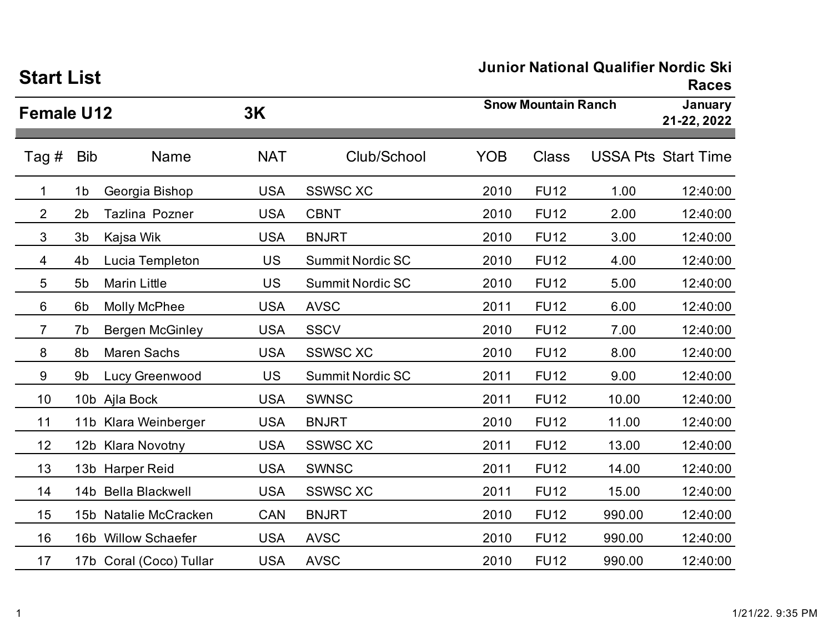| <b>Start List</b> |                |                         |            |                         | Junior National Qualifier Norgic Ski<br><b>Races</b> |                            |        |                            |
|-------------------|----------------|-------------------------|------------|-------------------------|------------------------------------------------------|----------------------------|--------|----------------------------|
| <b>Female U12</b> |                |                         | 3K         |                         |                                                      | <b>Snow Mountain Ranch</b> |        |                            |
| Tag #             | <b>Bib</b>     | <b>Name</b>             | <b>NAT</b> | Club/School             | <b>YOB</b>                                           | <b>Class</b>               |        | <b>USSA Pts Start Time</b> |
| 1                 | 1 <sub>b</sub> | Georgia Bishop          | <b>USA</b> | <b>SSWSC XC</b>         | 2010                                                 | <b>FU12</b>                | 1.00   | 12:40:00                   |
| $\overline{2}$    | 2 <sub>b</sub> | <b>Tazlina Pozner</b>   | <b>USA</b> | <b>CBNT</b>             | 2010                                                 | <b>FU12</b>                | 2.00   | 12:40:00                   |
| 3                 | 3 <sub>b</sub> | Kajsa Wik               | <b>USA</b> | <b>BNJRT</b>            | 2010                                                 | <b>FU12</b>                | 3.00   | 12:40:00                   |
| 4                 | 4 <sub>b</sub> | Lucia Templeton         | <b>US</b>  | <b>Summit Nordic SC</b> | 2010                                                 | <b>FU12</b>                | 4.00   | 12:40:00                   |
| 5                 | 5 <sub>b</sub> | <b>Marin Little</b>     | <b>US</b>  | <b>Summit Nordic SC</b> | 2010                                                 | <b>FU12</b>                | 5.00   | 12:40:00                   |
| 6                 | 6 <sub>b</sub> | <b>Molly McPhee</b>     | <b>USA</b> | <b>AVSC</b>             | 2011                                                 | <b>FU12</b>                | 6.00   | 12:40:00                   |
| 7                 | 7b             | <b>Bergen McGinley</b>  | <b>USA</b> | <b>SSCV</b>             | 2010                                                 | <b>FU12</b>                | 7.00   | 12:40:00                   |
| 8                 | 8b             | <b>Maren Sachs</b>      | <b>USA</b> | <b>SSWSC XC</b>         | 2010                                                 | <b>FU12</b>                | 8.00   | 12:40:00                   |
| 9                 | 9b             | Lucy Greenwood          | <b>US</b>  | <b>Summit Nordic SC</b> | 2011                                                 | <b>FU12</b>                | 9.00   | 12:40:00                   |
| 10                |                | 10b Ajla Bock           | <b>USA</b> | <b>SWNSC</b>            | 2011                                                 | <b>FU12</b>                | 10.00  | 12:40:00                   |
| 11                |                | 11b Klara Weinberger    | <b>USA</b> | <b>BNJRT</b>            | 2010                                                 | <b>FU12</b>                | 11.00  | 12:40:00                   |
| 12                |                | 12b Klara Novotny       | <b>USA</b> | <b>SSWSC XC</b>         | 2011                                                 | <b>FU12</b>                | 13.00  | 12:40:00                   |
| 13                |                | 13b Harper Reid         | <b>USA</b> | <b>SWNSC</b>            | 2011                                                 | <b>FU12</b>                | 14.00  | 12:40:00                   |
| 14                |                | 14b Bella Blackwell     | <b>USA</b> | <b>SSWSC XC</b>         | 2011                                                 | <b>FU12</b>                | 15.00  | 12:40:00                   |
| 15                |                | 15b Natalie McCracken   | <b>CAN</b> | <b>BNJRT</b>            | 2010                                                 | <b>FU12</b>                | 990.00 | 12:40:00                   |
| 16                |                | 16b Willow Schaefer     | <b>USA</b> | <b>AVSC</b>             | 2010                                                 | <b>FU12</b>                | 990.00 | 12:40:00                   |
| 17                |                | 17b Coral (Coco) Tullar | <b>USA</b> | <b>AVSC</b>             | 2010                                                 | <b>FU12</b>                | 990.00 | 12:40:00                   |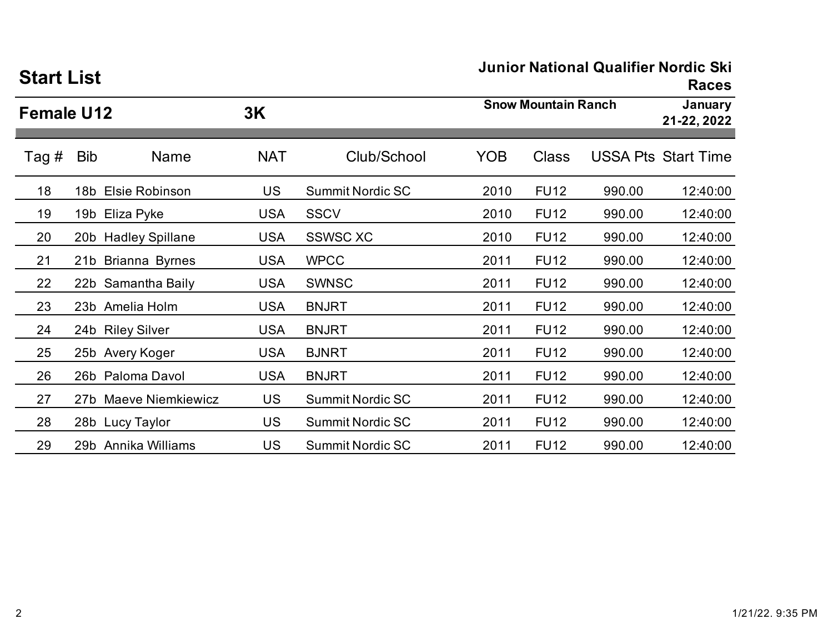| <b>Start List</b> |            |                       |            |                         | <b>Races</b> |                            |        |                            |  |
|-------------------|------------|-----------------------|------------|-------------------------|--------------|----------------------------|--------|----------------------------|--|
| <b>Female U12</b> |            |                       | 3K         |                         |              | <b>Snow Mountain Ranch</b> |        |                            |  |
| Tag #             | <b>Bib</b> | Name                  | <b>NAT</b> | Club/School             | <b>YOB</b>   | <b>Class</b>               |        | <b>USSA Pts Start Time</b> |  |
| 18                |            | 18b Elsie Robinson    | <b>US</b>  | <b>Summit Nordic SC</b> | 2010         | <b>FU12</b>                | 990.00 | 12:40:00                   |  |
| 19                |            | 19b Eliza Pyke        | <b>USA</b> | <b>SSCV</b>             | 2010         | <b>FU12</b>                | 990.00 | 12:40:00                   |  |
| 20                |            | 20b Hadley Spillane   | <b>USA</b> | <b>SSWSC XC</b>         | 2010         | <b>FU12</b>                | 990.00 | 12:40:00                   |  |
| 21                |            | 21b Brianna Byrnes    | <b>USA</b> | <b>WPCC</b>             | 2011         | <b>FU12</b>                | 990.00 | 12:40:00                   |  |
| 22                |            | 22b Samantha Baily    | <b>USA</b> | <b>SWNSC</b>            | 2011         | <b>FU12</b>                | 990.00 | 12:40:00                   |  |
| 23                |            | 23b Amelia Holm       | <b>USA</b> | <b>BNJRT</b>            | 2011         | <b>FU12</b>                | 990.00 | 12:40:00                   |  |
| 24                |            | 24b Riley Silver      | <b>USA</b> | <b>BNJRT</b>            | 2011         | <b>FU12</b>                | 990.00 | 12:40:00                   |  |
| 25                |            | 25b Avery Koger       | <b>USA</b> | <b>BJNRT</b>            | 2011         | <b>FU12</b>                | 990.00 | 12:40:00                   |  |
| 26                |            | 26b Paloma Davol      | <b>USA</b> | <b>BNJRT</b>            | 2011         | <b>FU12</b>                | 990.00 | 12:40:00                   |  |
| 27                |            | 27b Maeve Niemkiewicz | <b>US</b>  | <b>Summit Nordic SC</b> | 2011         | <b>FU12</b>                | 990.00 | 12:40:00                   |  |
| 28                |            | 28b Lucy Taylor       | <b>US</b>  | <b>Summit Nordic SC</b> | 2011         | <b>FU12</b>                | 990.00 | 12:40:00                   |  |
| 29                |            | 29b Annika Williams   | <b>US</b>  | <b>Summit Nordic SC</b> | 2011         | <b>FU12</b>                | 990.00 | 12:40:00                   |  |

# **Start List**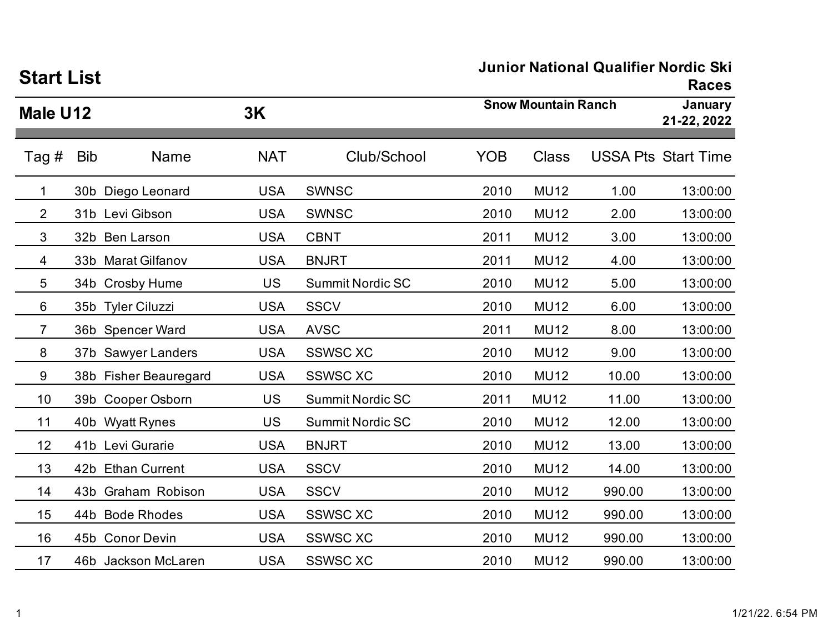| <b>Start List</b> |            |                       |            |                         | JUINUI NAUVIIAI QUAINIEI NUIUIC JNI<br><b>Races</b> |              |        |                            |  |
|-------------------|------------|-----------------------|------------|-------------------------|-----------------------------------------------------|--------------|--------|----------------------------|--|
| Male U12          |            |                       | 3K         |                         | <b>Snow Mountain Ranch</b>                          |              |        | January<br>21-22, 2022     |  |
| Tag #             | <b>Bib</b> | <b>Name</b>           | <b>NAT</b> | Club/School             | <b>YOB</b>                                          | <b>Class</b> |        | <b>USSA Pts Start Time</b> |  |
| 1                 |            | 30b Diego Leonard     | <b>USA</b> | <b>SWNSC</b>            | 2010                                                | <b>MU12</b>  | 1.00   | 13:00:00                   |  |
| 2                 |            | 31b Levi Gibson       | <b>USA</b> | <b>SWNSC</b>            | 2010                                                | <b>MU12</b>  | 2.00   | 13:00:00                   |  |
| 3                 |            | 32b Ben Larson        | <b>USA</b> | <b>CBNT</b>             | 2011                                                | <b>MU12</b>  | 3.00   | 13:00:00                   |  |
| 4                 |            | 33b Marat Gilfanov    | <b>USA</b> | <b>BNJRT</b>            | 2011                                                | <b>MU12</b>  | 4.00   | 13:00:00                   |  |
| 5                 |            | 34b Crosby Hume       | <b>US</b>  | <b>Summit Nordic SC</b> | 2010                                                | <b>MU12</b>  | 5.00   | 13:00:00                   |  |
| 6                 |            | 35b Tyler Ciluzzi     | <b>USA</b> | <b>SSCV</b>             | 2010                                                | <b>MU12</b>  | 6.00   | 13:00:00                   |  |
| $\overline{7}$    |            | 36b Spencer Ward      | <b>USA</b> | <b>AVSC</b>             | 2011                                                | <b>MU12</b>  | 8.00   | 13:00:00                   |  |
| 8                 |            | 37b Sawyer Landers    | <b>USA</b> | <b>SSWSC XC</b>         | 2010                                                | <b>MU12</b>  | 9.00   | 13:00:00                   |  |
| 9                 |            | 38b Fisher Beauregard | <b>USA</b> | <b>SSWSC XC</b>         | 2010                                                | <b>MU12</b>  | 10.00  | 13:00:00                   |  |
| 10                |            | 39b Cooper Osborn     | <b>US</b>  | <b>Summit Nordic SC</b> | 2011                                                | <b>MU12</b>  | 11.00  | 13:00:00                   |  |
| 11                |            | 40b Wyatt Rynes       | <b>US</b>  | <b>Summit Nordic SC</b> | 2010                                                | <b>MU12</b>  | 12.00  | 13:00:00                   |  |
| 12                |            | 41b Levi Gurarie      | <b>USA</b> | <b>BNJRT</b>            | 2010                                                | <b>MU12</b>  | 13.00  | 13:00:00                   |  |
| 13                |            | 42b Ethan Current     | <b>USA</b> | <b>SSCV</b>             | 2010                                                | <b>MU12</b>  | 14.00  | 13:00:00                   |  |
| 14                |            | 43b Graham Robison    | <b>USA</b> | <b>SSCV</b>             | 2010                                                | <b>MU12</b>  | 990.00 | 13:00:00                   |  |
| 15                |            | 44b Bode Rhodes       | <b>USA</b> | <b>SSWSC XC</b>         | 2010                                                | <b>MU12</b>  | 990.00 | 13:00:00                   |  |
| 16                |            | 45b Conor Devin       | <b>USA</b> | <b>SSWSC XC</b>         | 2010                                                | <b>MU12</b>  | 990.00 | 13:00:00                   |  |
| 17                |            | 46b Jackson McLaren   | <b>USA</b> | <b>SSWSC XC</b>         | 2010                                                | <b>MU12</b>  | 990.00 | 13:00:00                   |  |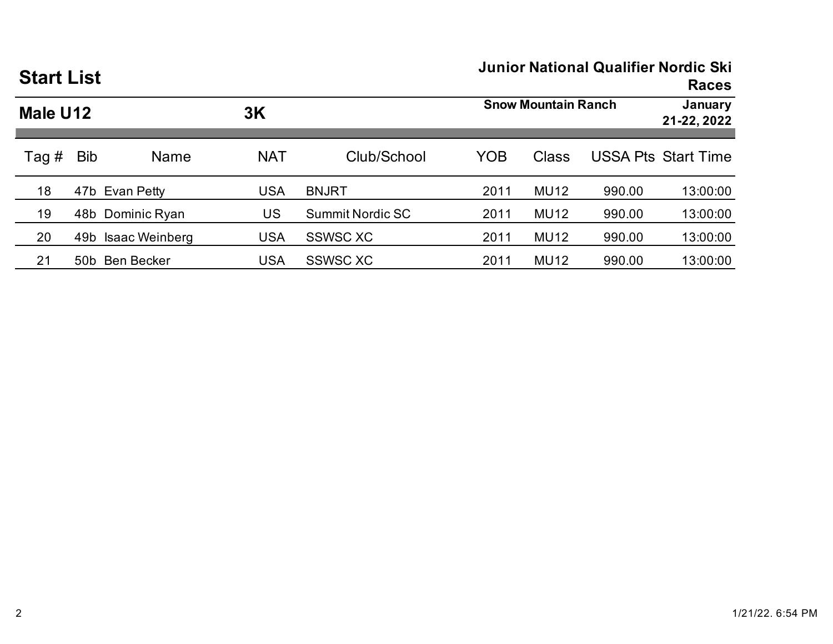| <b>Start List</b> |            |                  |            | <b>Junior National Qualifier Nordic Ski</b><br><b>Races</b> |      |                            |        |                            |
|-------------------|------------|------------------|------------|-------------------------------------------------------------|------|----------------------------|--------|----------------------------|
| Male U12          |            |                  | 3K         |                                                             |      | <b>Snow Mountain Ranch</b> |        |                            |
| Tag #             | <b>Bib</b> | <b>Name</b>      | <b>NAT</b> | Club/School                                                 | YOB  | <b>Class</b>               |        | <b>USSA Pts Start Time</b> |
| 18                |            | 47b Evan Petty   | <b>USA</b> | <b>BNJRT</b>                                                | 2011 | <b>MU12</b>                | 990.00 | 13:00:00                   |
| 19                |            | 48b Dominic Ryan | US         | <b>Summit Nordic SC</b>                                     | 2011 | <b>MU12</b>                | 990.00 | 13:00:00                   |
| 20                | 49b        | Isaac Weinberg   | <b>USA</b> | <b>SSWSC XC</b>                                             | 2011 | <b>MU12</b>                | 990.00 | 13:00:00                   |
| 21                | 50b        | Ben Becker       | <b>USA</b> | <b>SSWSC XC</b>                                             | 2011 | <b>MU12</b>                | 990.00 | 13:00:00                   |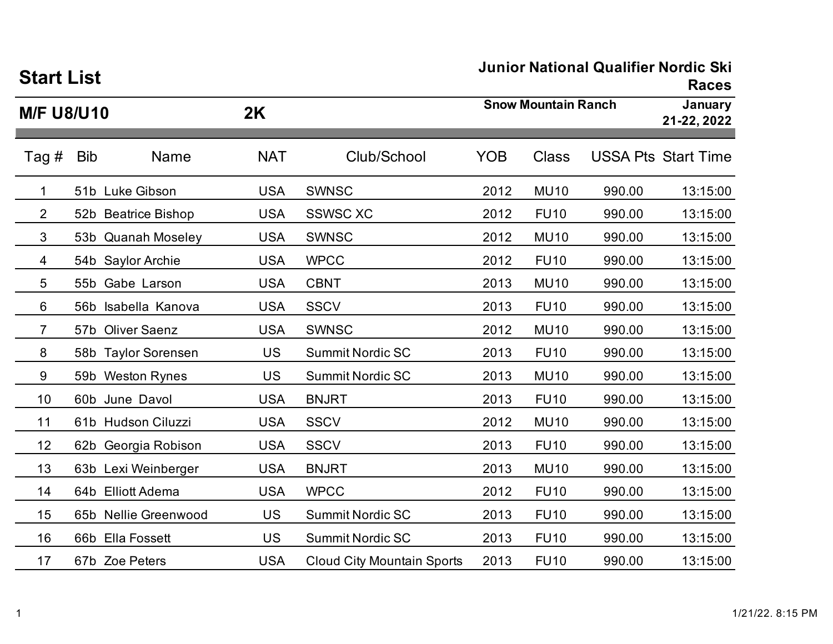| <b>Start List</b> |            |                      |            |                                   | Junior National Qualifier Norgic Ski<br><b>Races</b> |              |        |                            |  |
|-------------------|------------|----------------------|------------|-----------------------------------|------------------------------------------------------|--------------|--------|----------------------------|--|
| <b>M/F U8/U10</b> |            |                      | 2K         |                                   | <b>Snow Mountain Ranch</b>                           |              |        | January<br>21-22, 2022     |  |
| Tag #             | <b>Bib</b> | Name                 | <b>NAT</b> | Club/School                       | <b>YOB</b>                                           | <b>Class</b> |        | <b>USSA Pts Start Time</b> |  |
| 1                 |            | 51b Luke Gibson      | <b>USA</b> | <b>SWNSC</b>                      | 2012                                                 | <b>MU10</b>  | 990.00 | 13:15:00                   |  |
| $\overline{2}$    |            | 52b Beatrice Bishop  | <b>USA</b> | <b>SSWSC XC</b>                   | 2012                                                 | <b>FU10</b>  | 990.00 | 13:15:00                   |  |
| 3                 |            | 53b Quanah Moseley   | <b>USA</b> | <b>SWNSC</b>                      | 2012                                                 | <b>MU10</b>  | 990.00 | 13:15:00                   |  |
| 4                 |            | 54b Saylor Archie    | <b>USA</b> | <b>WPCC</b>                       | 2012                                                 | <b>FU10</b>  | 990.00 | 13:15:00                   |  |
| 5                 |            | 55b Gabe Larson      | <b>USA</b> | <b>CBNT</b>                       | 2013                                                 | <b>MU10</b>  | 990.00 | 13:15:00                   |  |
| 6                 |            | 56b Isabella Kanova  | <b>USA</b> | <b>SSCV</b>                       | 2013                                                 | <b>FU10</b>  | 990.00 | 13:15:00                   |  |
| 7                 |            | 57b Oliver Saenz     | <b>USA</b> | <b>SWNSC</b>                      | 2012                                                 | <b>MU10</b>  | 990.00 | 13:15:00                   |  |
| 8                 |            | 58b Taylor Sorensen  | US         | <b>Summit Nordic SC</b>           | 2013                                                 | <b>FU10</b>  | 990.00 | 13:15:00                   |  |
| 9                 |            | 59b Weston Rynes     | US         | <b>Summit Nordic SC</b>           | 2013                                                 | <b>MU10</b>  | 990.00 | 13:15:00                   |  |
| 10                |            | 60b June Davol       | <b>USA</b> | <b>BNJRT</b>                      | 2013                                                 | <b>FU10</b>  | 990.00 | 13:15:00                   |  |
| 11                |            | 61b Hudson Ciluzzi   | <b>USA</b> | <b>SSCV</b>                       | 2012                                                 | <b>MU10</b>  | 990.00 | 13:15:00                   |  |
| 12                |            | 62b Georgia Robison  | <b>USA</b> | <b>SSCV</b>                       | 2013                                                 | <b>FU10</b>  | 990.00 | 13:15:00                   |  |
| 13                |            | 63b Lexi Weinberger  | <b>USA</b> | <b>BNJRT</b>                      | 2013                                                 | <b>MU10</b>  | 990.00 | 13:15:00                   |  |
| 14                |            | 64b Elliott Adema    | <b>USA</b> | <b>WPCC</b>                       | 2012                                                 | <b>FU10</b>  | 990.00 | 13:15:00                   |  |
| 15                |            | 65b Nellie Greenwood | US         | <b>Summit Nordic SC</b>           | 2013                                                 | <b>FU10</b>  | 990.00 | 13:15:00                   |  |
| 16                |            | 66b Ella Fossett     | <b>US</b>  | <b>Summit Nordic SC</b>           | 2013                                                 | <b>FU10</b>  | 990.00 | 13:15:00                   |  |
| 17                |            | 67b Zoe Peters       | <b>USA</b> | <b>Cloud City Mountain Sports</b> | 2013                                                 | <b>FU10</b>  | 990.00 | 13:15:00                   |  |